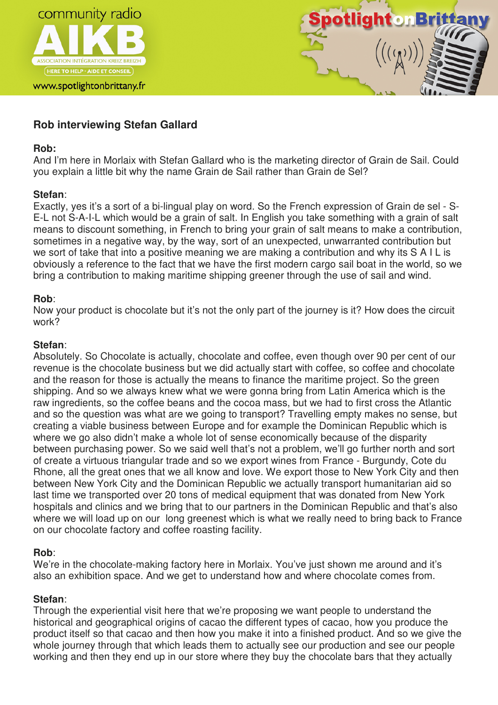



# **Rob interviewing Stefan Gallard**

### **Rob:**

And I'm here in Morlaix with Stefan Gallard who is the marketing director of Grain de Sail. Could you explain a little bit why the name Grain de Sail rather than Grain de Sel?

### **Stefan**:

Exactly, yes it's a sort of a bi-lingual play on word. So the French expression of Grain de sel - S-E-L not S-A-I-L which would be a grain of salt. In English you take something with a grain of salt means to discount something, in French to bring your grain of salt means to make a contribution, sometimes in a negative way, by the way, sort of an unexpected, unwarranted contribution but we sort of take that into a positive meaning we are making a contribution and why its S A I L is obviously a reference to the fact that we have the first modern cargo sail boat in the world, so we bring a contribution to making maritime shipping greener through the use of sail and wind.

### **Rob**:

Now your product is chocolate but it's not the only part of the journey is it? How does the circuit work?

### **Stefan**:

Absolutely. So Chocolate is actually, chocolate and coffee, even though over 90 per cent of our revenue is the chocolate business but we did actually start with coffee, so coffee and chocolate and the reason for those is actually the means to finance the maritime project. So the green shipping. And so we always knew what we were gonna bring from Latin America which is the raw ingredients, so the coffee beans and the cocoa mass, but we had to first cross the Atlantic and so the question was what are we going to transport? Travelling empty makes no sense, but creating a viable business between Europe and for example the Dominican Republic which is where we go also didn't make a whole lot of sense economically because of the disparity between purchasing power. So we said well that's not a problem, we'll go further north and sort of create a virtuous triangular trade and so we export wines from France - Burgundy, Cote du Rhone, all the great ones that we all know and love. We export those to New York City and then between New York City and the Dominican Republic we actually transport humanitarian aid so last time we transported over 20 tons of medical equipment that was donated from New York hospitals and clinics and we bring that to our partners in the Dominican Republic and that's also where we will load up on our long greenest which is what we really need to bring back to France on our chocolate factory and coffee roasting facility.

# **Rob**:

We're in the chocolate-making factory here in Morlaix. You've just shown me around and it's also an exhibition space. And we get to understand how and where chocolate comes from.

# **Stefan**:

Through the experiential visit here that we're proposing we want people to understand the historical and geographical origins of cacao the different types of cacao, how you produce the product itself so that cacao and then how you make it into a finished product. And so we give the whole journey through that which leads them to actually see our production and see our people working and then they end up in our store where they buy the chocolate bars that they actually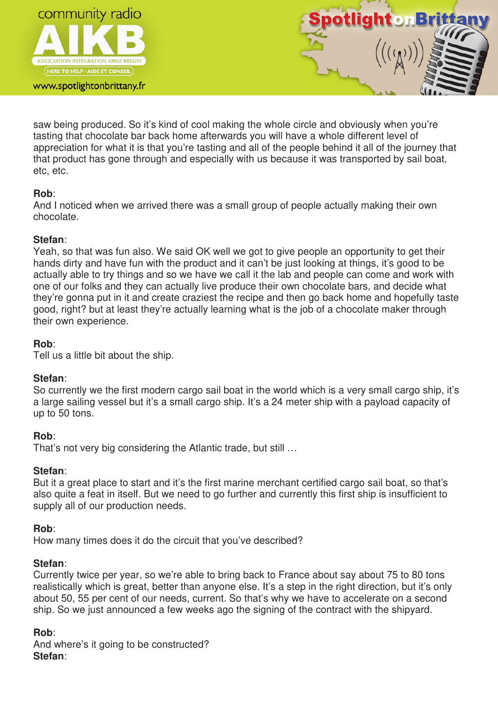

www.spotlightonbrittany.fr



saw being produced. So it's kind of cool making the whole circle and obviously when you're tasting that chocolate bar back home afterwards you will have a whole different level of appreciation for what it is that you're tasting and all of the people behind it all of the journey that that product has gone through and especially with us because it was transported by sail boat, etc, etc.

### **Rob**:

And I noticed when we arrived there was a small group of people actually making their own chocolate.

#### **Stefan**:

Yeah, so that was fun also. We said OK well we got to give people an opportunity to get their hands dirty and have fun with the product and it can't be just looking at things, it's good to be actually able to try things and so we have we call it the lab and people can come and work with one of our folks and they can actually live produce their own chocolate bars, and decide what they're gonna put in it and create craziest the recipe and then go back home and hopefully taste good, right? but at least they're actually learning what is the job of a chocolate maker through their own experience.

### **Rob**:

Tell us a little bit about the ship.

### **Stefan**:

So currently we the first modern cargo sail boat in the world which is a very small cargo ship, it's a large sailing vessel but it's a small cargo ship. It's a 24 meter ship with a payload capacity of up to 50 tons.

### **Rob**:

That's not very big considering the Atlantic trade, but still …

### **Stefan**:

But it a great place to start and it's the first marine merchant certified cargo sail boat, so that's also quite a feat in itself. But we need to go further and currently this first ship is insufficient to supply all of our production needs.

### **Rob**:

How many times does it do the circuit that you've described?

### **Stefan**:

Currently twice per year, so we're able to bring back to France about say about 75 to 80 tons realistically which is great, better than anyone else. It's a step in the right direction, but it's only about 50, 55 per cent of our needs, current. So that's why we have to accelerate on a second ship. So we just announced a few weeks ago the signing of the contract with the shipyard.

### **Rob**:

And where's it going to be constructed? **Stefan**: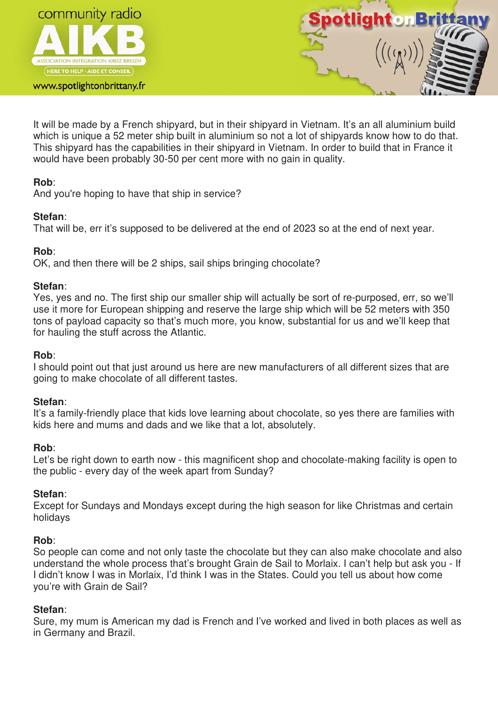

www.spotlightonbrittany.fr



It will be made by a French shipyard, but in their shipyard in Vietnam. It's an all aluminium build which is unique a 52 meter ship built in aluminium so not a lot of shipyards know how to do that. This shipyard has the capabilities in their shipyard in Vietnam. In order to build that in France it would have been probably 30-50 per cent more with no gain in quality.

### **Rob**:

And you're hoping to have that ship in service?

#### **Stefan**:

That will be, err it's supposed to be delivered at the end of 2023 so at the end of next year.

### **Rob**:

OK, and then there will be 2 ships, sail ships bringing chocolate?

#### **Stefan**:

Yes, yes and no. The first ship our smaller ship will actually be sort of re-purposed, err, so we'll use it more for European shipping and reserve the large ship which will be 52 meters with 350 tons of payload capacity so that's much more, you know, substantial for us and we'll keep that for hauling the stuff across the Atlantic.

#### **Rob**:

I should point out that just around us here are new manufacturers of all different sizes that are going to make chocolate of all different tastes.

### **Stefan**:

It's a family-friendly place that kids love learning about chocolate, so yes there are families with kids here and mums and dads and we like that a lot, absolutely.

### **Rob**:

Let's be right down to earth now - this magnificent shop and chocolate-making facility is open to the public - every day of the week apart from Sunday?

### **Stefan**:

Except for Sundays and Mondays except during the high season for like Christmas and certain holidays

### **Rob**:

So people can come and not only taste the chocolate but they can also make chocolate and also understand the whole process that's brought Grain de Sail to Morlaix. I can't help but ask you - If I didn't know I was in Morlaix, I'd think I was in the States. Could you tell us about how come you're with Grain de Sail?

### **Stefan**:

Sure, my mum is American my dad is French and I've worked and lived in both places as well as in Germany and Brazil.